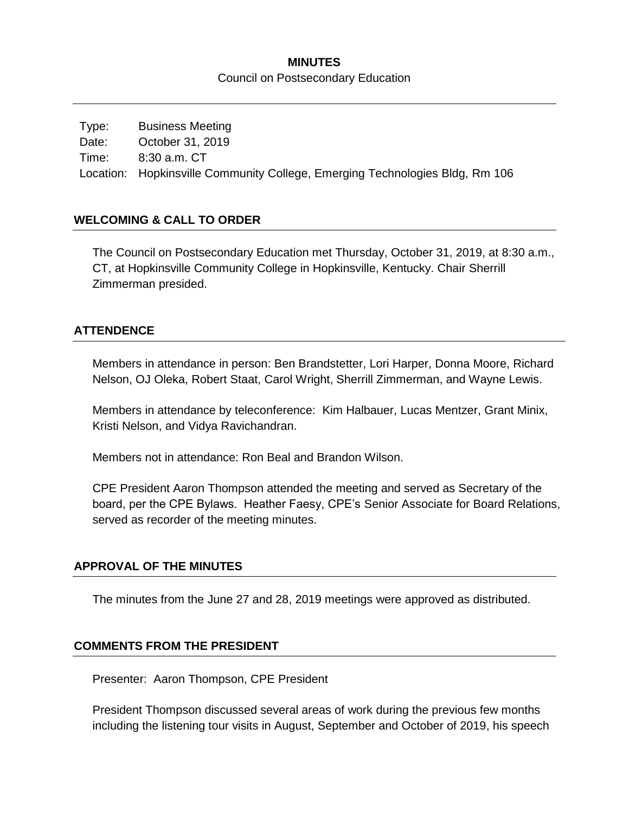#### **MINUTES**

Council on Postsecondary Education

Type: Business Meeting Date: October 31, 2019 Time: 8:30 a.m. CT Location: Hopkinsville Community College, Emerging Technologies Bldg, Rm 106

#### **WELCOMING & CALL TO ORDER**

The Council on Postsecondary Education met Thursday, October 31, 2019, at 8:30 a.m., CT, at Hopkinsville Community College in Hopkinsville, Kentucky. Chair Sherrill Zimmerman presided.

#### **ATTENDENCE**

Members in attendance in person: Ben Brandstetter, Lori Harper, Donna Moore, Richard Nelson, OJ Oleka, Robert Staat, Carol Wright, Sherrill Zimmerman, and Wayne Lewis.

Members in attendance by teleconference: Kim Halbauer, Lucas Mentzer, Grant Minix, Kristi Nelson, and Vidya Ravichandran.

Members not in attendance: Ron Beal and Brandon Wilson.

CPE President Aaron Thompson attended the meeting and served as Secretary of the board, per the CPE Bylaws. Heather Faesy, CPE's Senior Associate for Board Relations, served as recorder of the meeting minutes.

### **APPROVAL OF THE MINUTES**

The minutes from the June 27 and 28, 2019 meetings were approved as distributed.

#### **COMMENTS FROM THE PRESIDENT**

Presenter: Aaron Thompson, CPE President

President Thompson discussed several areas of work during the previous few months including the listening tour visits in August, September and October of 2019, his speech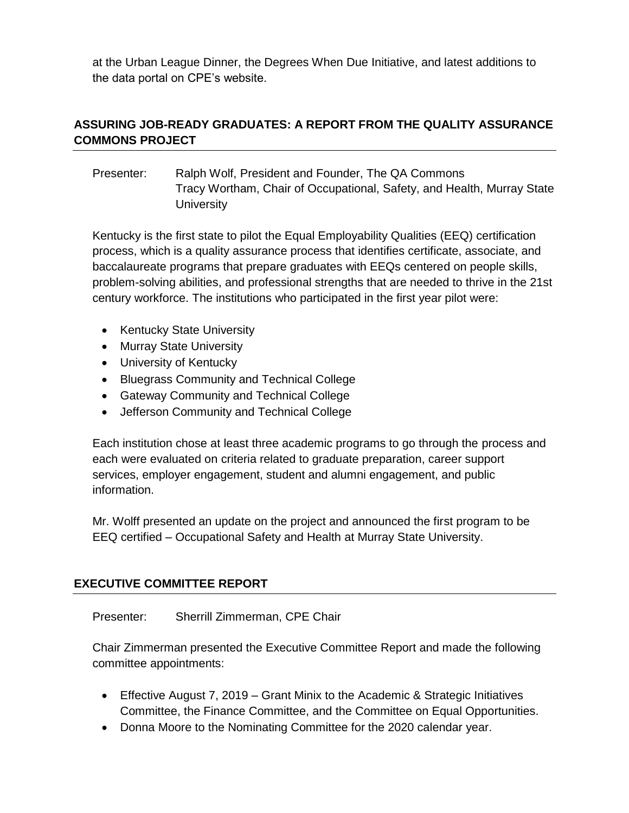at the Urban League Dinner, the Degrees When Due Initiative, and latest additions to the data portal on CPE's website.

# **ASSURING JOB-READY GRADUATES: A REPORT FROM THE QUALITY ASSURANCE COMMONS PROJECT**

Presenter: Ralph Wolf, President and Founder, The QA Commons Tracy Wortham, Chair of Occupational, Safety, and Health, Murray State **University** 

Kentucky is the first state to pilot the Equal Employability Qualities (EEQ) certification process, which is a quality assurance process that identifies certificate, associate, and baccalaureate programs that prepare graduates with EEQs centered on people skills, problem-solving abilities, and professional strengths that are needed to thrive in the 21st century workforce. The institutions who participated in the first year pilot were:

- Kentucky State University
- Murray State University
- University of Kentucky
- Bluegrass Community and Technical College
- Gateway Community and Technical College
- Jefferson Community and Technical College

Each institution chose at least three academic programs to go through the process and each were evaluated on criteria related to graduate preparation, career support services, employer engagement, student and alumni engagement, and public information.

Mr. Wolff presented an update on the project and announced the first program to be EEQ certified – Occupational Safety and Health at Murray State University.

# **EXECUTIVE COMMITTEE REPORT**

Presenter: Sherrill Zimmerman, CPE Chair

Chair Zimmerman presented the Executive Committee Report and made the following committee appointments:

- Effective August 7, 2019 Grant Minix to the Academic & Strategic Initiatives Committee, the Finance Committee, and the Committee on Equal Opportunities.
- Donna Moore to the Nominating Committee for the 2020 calendar year.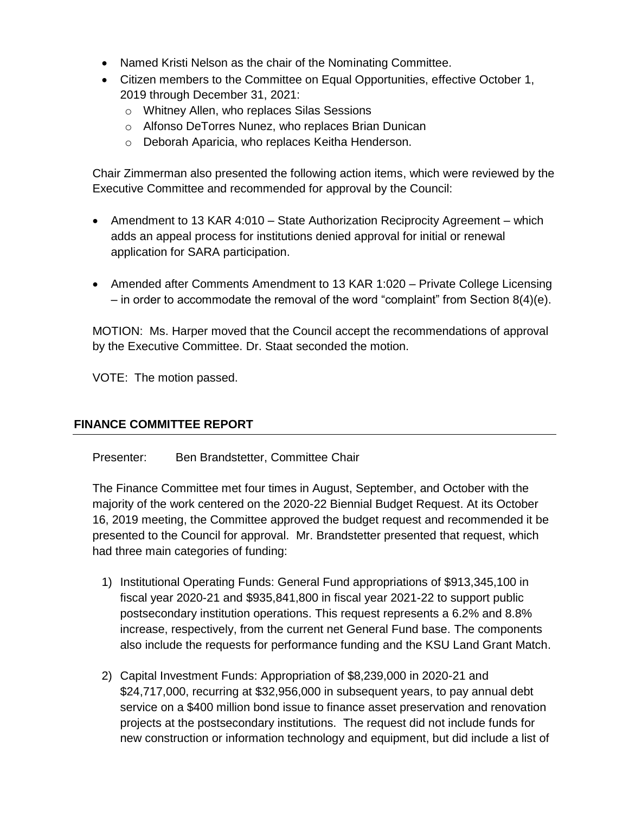- Named Kristi Nelson as the chair of the Nominating Committee.
- Citizen members to the Committee on Equal Opportunities, effective October 1, 2019 through December 31, 2021:
	- o Whitney Allen, who replaces Silas Sessions
	- o Alfonso DeTorres Nunez, who replaces Brian Dunican
	- o Deborah Aparicia, who replaces Keitha Henderson.

Chair Zimmerman also presented the following action items, which were reviewed by the Executive Committee and recommended for approval by the Council:

- Amendment to 13 KAR 4:010 State Authorization Reciprocity Agreement which adds an appeal process for institutions denied approval for initial or renewal application for SARA participation.
- Amended after Comments Amendment to 13 KAR 1:020 Private College Licensing – in order to accommodate the removal of the word "complaint" from Section  $8(4)(e)$ .

MOTION: Ms. Harper moved that the Council accept the recommendations of approval by the Executive Committee. Dr. Staat seconded the motion.

VOTE: The motion passed.

### **FINANCE COMMITTEE REPORT**

Presenter: Ben Brandstetter, Committee Chair

The Finance Committee met four times in August, September, and October with the majority of the work centered on the 2020-22 Biennial Budget Request. At its October 16, 2019 meeting, the Committee approved the budget request and recommended it be presented to the Council for approval. Mr. Brandstetter presented that request, which had three main categories of funding:

- 1) Institutional Operating Funds: General Fund appropriations of \$913,345,100 in fiscal year 2020-21 and \$935,841,800 in fiscal year 2021-22 to support public postsecondary institution operations. This request represents a 6.2% and 8.8% increase, respectively, from the current net General Fund base. The components also include the requests for performance funding and the KSU Land Grant Match.
- 2) Capital Investment Funds: Appropriation of \$8,239,000 in 2020-21 and \$24,717,000, recurring at \$32,956,000 in subsequent years, to pay annual debt service on a \$400 million bond issue to finance asset preservation and renovation projects at the postsecondary institutions. The request did not include funds for new construction or information technology and equipment, but did include a list of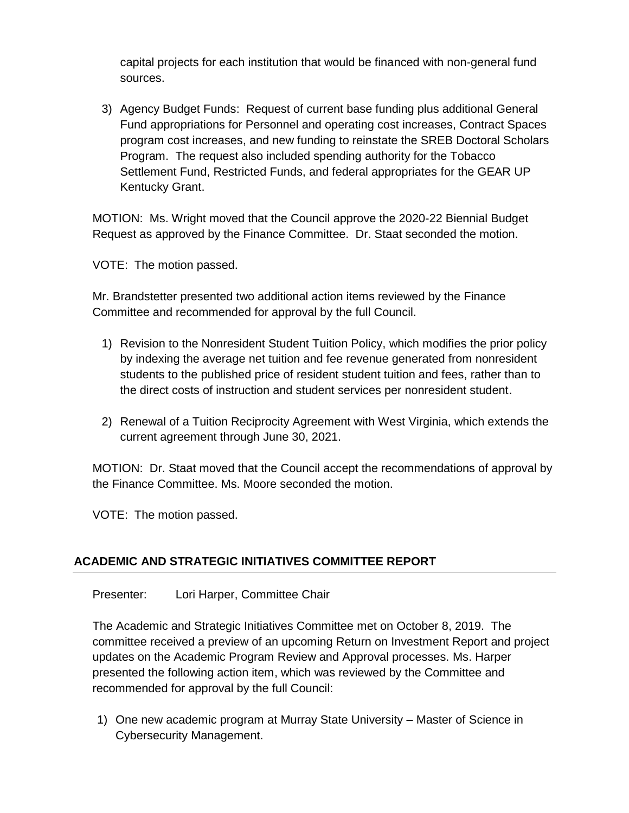capital projects for each institution that would be financed with non-general fund sources.

3) Agency Budget Funds: Request of current base funding plus additional General Fund appropriations for Personnel and operating cost increases, Contract Spaces program cost increases, and new funding to reinstate the SREB Doctoral Scholars Program. The request also included spending authority for the Tobacco Settlement Fund, Restricted Funds, and federal appropriates for the GEAR UP Kentucky Grant.

MOTION: Ms. Wright moved that the Council approve the 2020-22 Biennial Budget Request as approved by the Finance Committee. Dr. Staat seconded the motion.

VOTE: The motion passed.

Mr. Brandstetter presented two additional action items reviewed by the Finance Committee and recommended for approval by the full Council.

- 1) Revision to the Nonresident Student Tuition Policy, which modifies the prior policy by indexing the average net tuition and fee revenue generated from nonresident students to the published price of resident student tuition and fees, rather than to the direct costs of instruction and student services per nonresident student.
- 2) Renewal of a Tuition Reciprocity Agreement with West Virginia, which extends the current agreement through June 30, 2021.

MOTION: Dr. Staat moved that the Council accept the recommendations of approval by the Finance Committee. Ms. Moore seconded the motion.

VOTE: The motion passed.

# **ACADEMIC AND STRATEGIC INITIATIVES COMMITTEE REPORT**

Presenter: Lori Harper, Committee Chair

The Academic and Strategic Initiatives Committee met on October 8, 2019. The committee received a preview of an upcoming Return on Investment Report and project updates on the Academic Program Review and Approval processes. Ms. Harper presented the following action item, which was reviewed by the Committee and recommended for approval by the full Council:

1) One new academic program at Murray State University – Master of Science in Cybersecurity Management.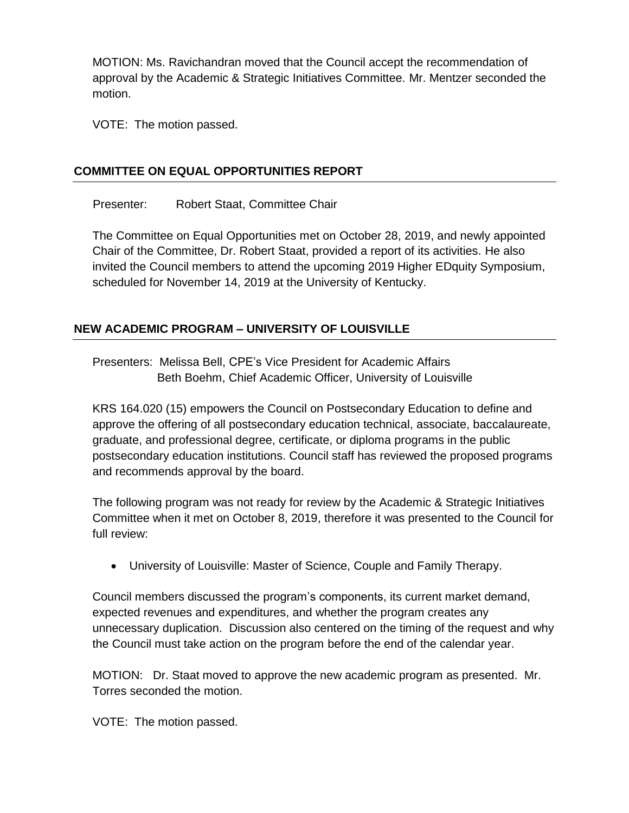MOTION: Ms. Ravichandran moved that the Council accept the recommendation of approval by the Academic & Strategic Initiatives Committee. Mr. Mentzer seconded the motion.

VOTE: The motion passed.

### **COMMITTEE ON EQUAL OPPORTUNITIES REPORT**

Presenter: Robert Staat, Committee Chair

The Committee on Equal Opportunities met on October 28, 2019, and newly appointed Chair of the Committee, Dr. Robert Staat, provided a report of its activities. He also invited the Council members to attend the upcoming 2019 Higher EDquity Symposium, scheduled for November 14, 2019 at the University of Kentucky.

# **NEW ACADEMIC PROGRAM – UNIVERSITY OF LOUISVILLE**

Presenters: Melissa Bell, CPE's Vice President for Academic Affairs Beth Boehm, Chief Academic Officer, University of Louisville

KRS 164.020 (15) empowers the Council on Postsecondary Education to define and approve the offering of all postsecondary education technical, associate, baccalaureate, graduate, and professional degree, certificate, or diploma programs in the public postsecondary education institutions. Council staff has reviewed the proposed programs and recommends approval by the board.

The following program was not ready for review by the Academic & Strategic Initiatives Committee when it met on October 8, 2019, therefore it was presented to the Council for full review:

University of Louisville: Master of Science, Couple and Family Therapy.

Council members discussed the program's components, its current market demand, expected revenues and expenditures, and whether the program creates any unnecessary duplication. Discussion also centered on the timing of the request and why the Council must take action on the program before the end of the calendar year.

MOTION: Dr. Staat moved to approve the new academic program as presented. Mr. Torres seconded the motion.

VOTE: The motion passed.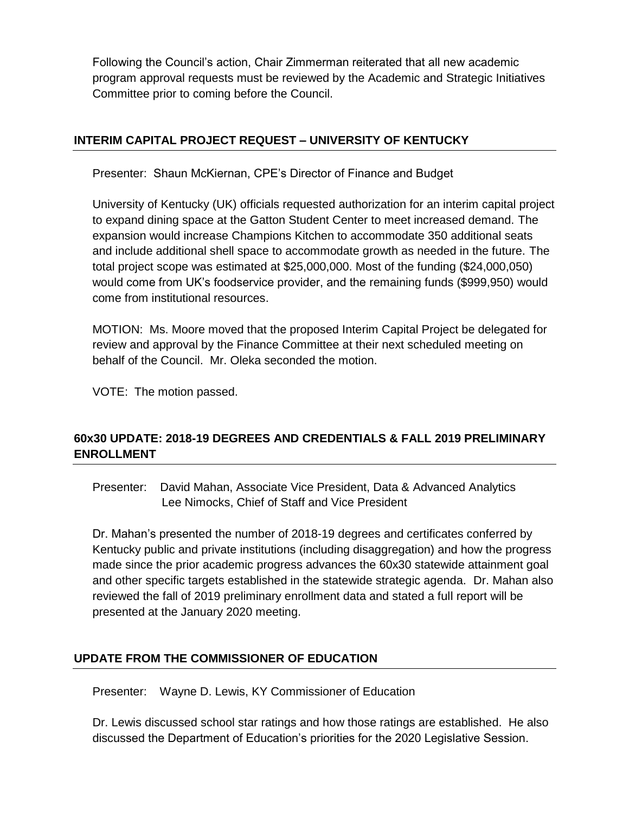Following the Council's action, Chair Zimmerman reiterated that all new academic program approval requests must be reviewed by the Academic and Strategic Initiatives Committee prior to coming before the Council.

### **INTERIM CAPITAL PROJECT REQUEST – UNIVERSITY OF KENTUCKY**

Presenter: Shaun McKiernan, CPE's Director of Finance and Budget

University of Kentucky (UK) officials requested authorization for an interim capital project to expand dining space at the Gatton Student Center to meet increased demand. The expansion would increase Champions Kitchen to accommodate 350 additional seats and include additional shell space to accommodate growth as needed in the future. The total project scope was estimated at \$25,000,000. Most of the funding (\$24,000,050) would come from UK's foodservice provider, and the remaining funds (\$999,950) would come from institutional resources.

MOTION: Ms. Moore moved that the proposed Interim Capital Project be delegated for review and approval by the Finance Committee at their next scheduled meeting on behalf of the Council. Mr. Oleka seconded the motion.

VOTE: The motion passed.

# **60x30 UPDATE: 2018-19 DEGREES AND CREDENTIALS & FALL 2019 PRELIMINARY ENROLLMENT**

Presenter: David Mahan, Associate Vice President, Data & Advanced Analytics Lee Nimocks, Chief of Staff and Vice President

Dr. Mahan's presented the number of 2018-19 degrees and certificates conferred by Kentucky public and private institutions (including disaggregation) and how the progress made since the prior academic progress advances the 60x30 statewide attainment goal and other specific targets established in the statewide strategic agenda. Dr. Mahan also reviewed the fall of 2019 preliminary enrollment data and stated a full report will be presented at the January 2020 meeting.

### **UPDATE FROM THE COMMISSIONER OF EDUCATION**

Presenter: Wayne D. Lewis, KY Commissioner of Education

Dr. Lewis discussed school star ratings and how those ratings are established. He also discussed the Department of Education's priorities for the 2020 Legislative Session.